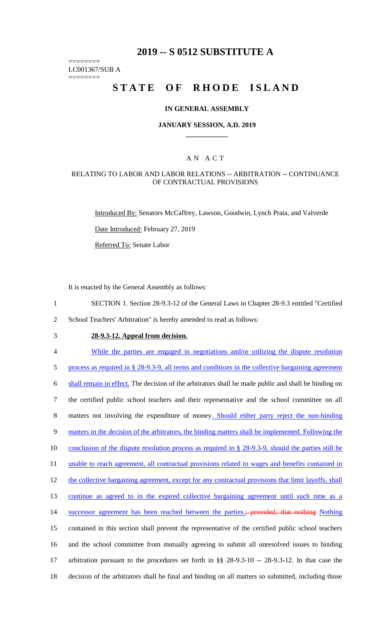# **2019 -- S 0512 SUBSTITUTE A**

======== LC001367/SUB A

========

# STATE OF RHODE ISLAND

#### **IN GENERAL ASSEMBLY**

#### **JANUARY SESSION, A.D. 2019 \_\_\_\_\_\_\_\_\_\_\_\_**

### A N A C T

#### RELATING TO LABOR AND LABOR RELATIONS -- ARBITRATION -- CONTINUANCE OF CONTRACTUAL PROVISIONS

Introduced By: Senators McCaffrey, Lawson, Goodwin, Lynch Prata, and Valverde

Date Introduced: February 27, 2019

Referred To: Senate Labor

It is enacted by the General Assembly as follows:

- 1 SECTION 1. Section 28-9.3-12 of the General Laws in Chapter 28-9.3 entitled "Certified
- 2 School Teachers' Arbitration" is hereby amended to read as follows:
- 

# 3 **28-9.3-12. Appeal from decision.**

4 While the parties are engaged in negotiations and/or utilizing the dispute resolution

5 process as required in § 28-9.3-9, all terms and conditions in the collective bargaining agreement 6 shall remain in effect. The decision of the arbitrators shall be made public and shall be binding on

7 the certified public school teachers and their representative and the school committee on all

8 matters not involving the expenditure of money. Should either party reject the non-binding

9 matters in the decision of the arbitrators, the binding matters shall be implemented. Following the

10 conclusion of the dispute resolution process as required in § 28-9.3-9, should the parties still be

11 unable to reach agreement, all contractual provisions related to wages and benefits contained in

12 the collective bargaining agreement, except for any contractual provisions that limit layoffs, shall

13 continue as agreed to in the expired collective bargaining agreement until such time as a

14 successor agreement has been reached between the parties.; provided, that nothing Nothing

15 contained in this section shall prevent the representative of the certified public school teachers

16 and the school committee from mutually agreeing to submit all unresolved issues to binding

17 arbitration pursuant to the procedures set forth in §§ 28-9.3-10 -- 28-9.3-12. In that case the 18 decision of the arbitrators shall be final and binding on all matters so submitted, including those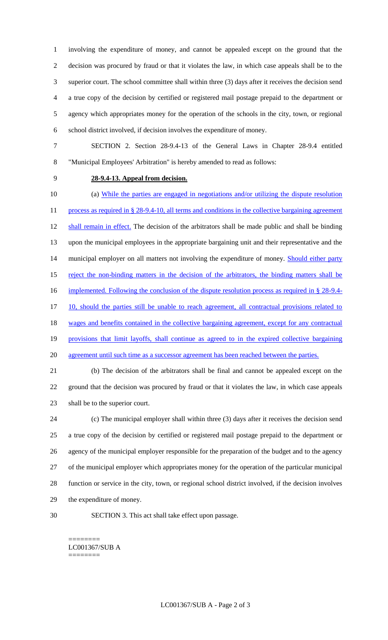involving the expenditure of money, and cannot be appealed except on the ground that the decision was procured by fraud or that it violates the law, in which case appeals shall be to the superior court. The school committee shall within three (3) days after it receives the decision send a true copy of the decision by certified or registered mail postage prepaid to the department or agency which appropriates money for the operation of the schools in the city, town, or regional school district involved, if decision involves the expenditure of money.

- SECTION 2. Section 28-9.4-13 of the General Laws in Chapter 28-9.4 entitled "Municipal Employees' Arbitration" is hereby amended to read as follows:
- 

### **28-9.4-13. Appeal from decision.**

 (a) While the parties are engaged in negotiations and/or utilizing the dispute resolution 11 process as required in § 28-9.4-10, all terms and conditions in the collective bargaining agreement shall remain in effect. The decision of the arbitrators shall be made public and shall be binding upon the municipal employees in the appropriate bargaining unit and their representative and the 14 municipal employer on all matters not involving the expenditure of money. **Should either party** 15 reject the non-binding matters in the decision of the arbitrators, the binding matters shall be 16 implemented. Following the conclusion of the dispute resolution process as required in § 28-9.4-17 10, should the parties still be unable to reach agreement, all contractual provisions related to 18 wages and benefits contained in the collective bargaining agreement, except for any contractual provisions that limit layoffs, shall continue as agreed to in the expired collective bargaining 20 agreement until such time as a successor agreement has been reached between the parties. (b) The decision of the arbitrators shall be final and cannot be appealed except on the ground that the decision was procured by fraud or that it violates the law, in which case appeals shall be to the superior court. (c) The municipal employer shall within three (3) days after it receives the decision send a true copy of the decision by certified or registered mail postage prepaid to the department or agency of the municipal employer responsible for the preparation of the budget and to the agency

 of the municipal employer which appropriates money for the operation of the particular municipal function or service in the city, town, or regional school district involved, if the decision involves the expenditure of money.

SECTION 3. This act shall take effect upon passage.

#### ======== LC001367/SUB A ========